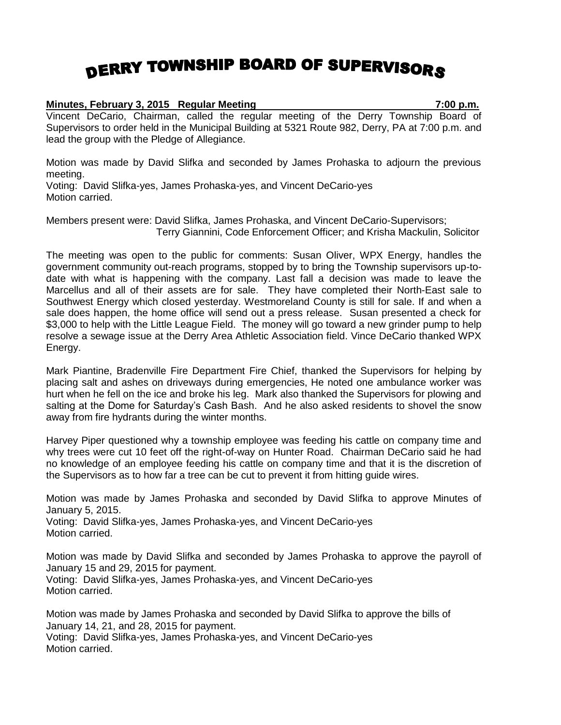## DERRY TOWNSHIP BOARD OF SUPERVISORS

## **Minutes, February 3, 2015 Regular Meeting 7:00 p.m.**

Vincent DeCario, Chairman, called the regular meeting of the Derry Township Board of Supervisors to order held in the Municipal Building at 5321 Route 982, Derry, PA at 7:00 p.m. and lead the group with the Pledge of Allegiance.

Motion was made by David Slifka and seconded by James Prohaska to adjourn the previous meeting.

Voting: David Slifka-yes, James Prohaska-yes, and Vincent DeCario-yes Motion carried.

Members present were: David Slifka, James Prohaska, and Vincent DeCario-Supervisors; Terry Giannini, Code Enforcement Officer; and Krisha Mackulin, Solicitor

The meeting was open to the public for comments: Susan Oliver, WPX Energy, handles the government community out-reach programs, stopped by to bring the Township supervisors up-todate with what is happening with the company. Last fall a decision was made to leave the Marcellus and all of their assets are for sale. They have completed their North-East sale to Southwest Energy which closed yesterday. Westmoreland County is still for sale. If and when a sale does happen, the home office will send out a press release. Susan presented a check for \$3,000 to help with the Little League Field. The money will go toward a new grinder pump to help resolve a sewage issue at the Derry Area Athletic Association field. Vince DeCario thanked WPX Energy.

Mark Piantine, Bradenville Fire Department Fire Chief, thanked the Supervisors for helping by placing salt and ashes on driveways during emergencies, He noted one ambulance worker was hurt when he fell on the ice and broke his leg. Mark also thanked the Supervisors for plowing and salting at the Dome for Saturday's Cash Bash. And he also asked residents to shovel the snow away from fire hydrants during the winter months.

Harvey Piper questioned why a township employee was feeding his cattle on company time and why trees were cut 10 feet off the right-of-way on Hunter Road. Chairman DeCario said he had no knowledge of an employee feeding his cattle on company time and that it is the discretion of the Supervisors as to how far a tree can be cut to prevent it from hitting guide wires.

Motion was made by James Prohaska and seconded by David Slifka to approve Minutes of January 5, 2015.

Voting: David Slifka-yes, James Prohaska-yes, and Vincent DeCario-yes Motion carried.

Motion was made by David Slifka and seconded by James Prohaska to approve the payroll of January 15 and 29, 2015 for payment. Voting: David Slifka-yes, James Prohaska-yes, and Vincent DeCario-yes

Motion carried.

Motion was made by James Prohaska and seconded by David Slifka to approve the bills of January 14, 21, and 28, 2015 for payment. Voting: David Slifka-yes, James Prohaska-yes, and Vincent DeCario-yes Motion carried.